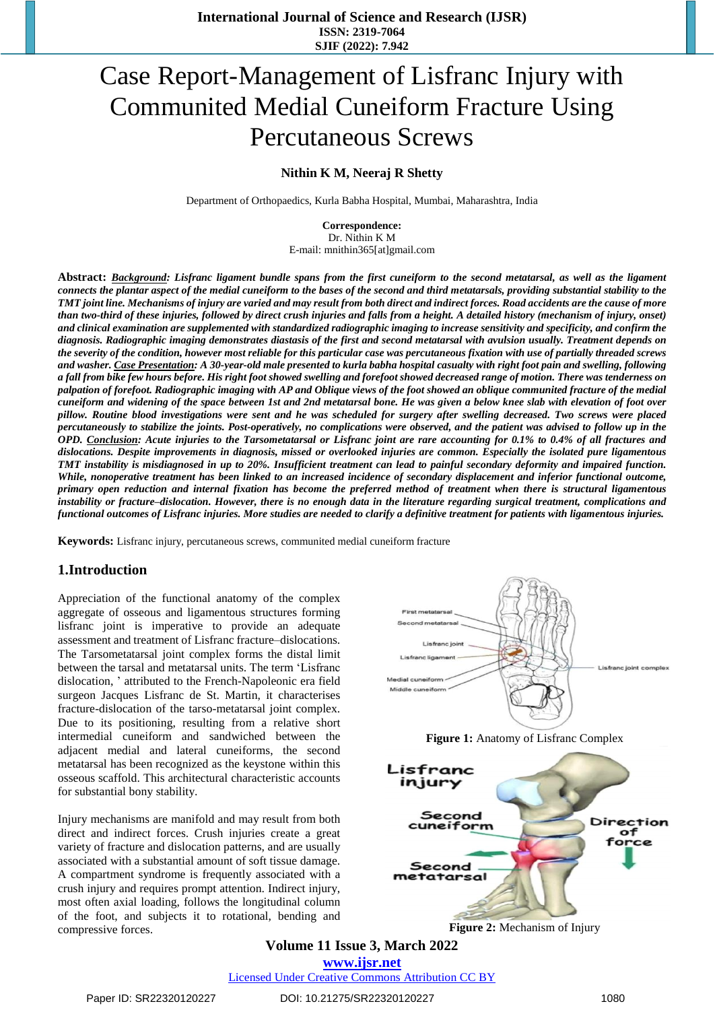# Case Report-Management of Lisfranc Injury with Communited Medial Cuneiform Fracture Using Percutaneous Screws

## **Nithin K M, Neeraj R Shetty**

Department of Orthopaedics, Kurla Babha Hospital, Mumbai, Maharashtra, India

**Correspondence:** Dr. Nithin K M E-mail: mnithin365[at]gmail.com

Abstract: Background: Lisfranc ligament bundle spans from the first cuneiform to the second metatarsal, as well as the ligament connects the plantar aspect of the medial cuneiform to the bases of the second and third metatarsals, providing substantial stability to the TMT joint line. Mechanisms of injury are varied and may result from both direct and indirect forces. Road accidents are the cause of more than two-third of these injuries, followed by direct crush injuries and falls from a height. A detailed history (mechanism of injury, onset) and clinical examination are supplemented with standardized radiographic imaging to increase sensitivity and specificity, and confirm the diagnosis. Radiographic imaging demonstrates diastasis of the first and second metatarsal with avulsion usually. Treatment depends on the severity of the condition, however most reliable for this particular case was percutaneous fixation with use of partially threaded screws and washer. Case Presentation: A 30-year-old male presented to kurla babha hospital casualty with right foot pain and swelling, following a fall from bike few hours before. His right foot showed swelling and forefoot showed decreased range of motion. There was tenderness on palpation of forefoot. Radiographic imaging with AP and Oblique views of the foot showed an oblique communited fracture of the medial cuneiform and widening of the space between 1st and 2nd metatarsal bone. He was given a below knee slab with elevation of foot over pillow. Routine blood investigations were sent and he was scheduled for surgery after swelling decreased. Two screws were placed percutaneously to stabilize the joints. Post-operatively, no complications were observed, and the patient was advised to follow up in the OPD. Conclusion: Acute injuries to the Tarsometatarsal or Lisfranc joint are rare accounting for 0.1% to 0.4% of all fractures and *dislocations. Despite improvements in diagnosis, missed or overlooked injuries are common. Especially the isolated pure ligamentous* TMT instability is misdiagnosed in up to 20%. Insufficient treatment can lead to painful secondary deformity and impaired function. While, nonoperative treatment has been linked to an increased incidence of secondary displacement and inferior functional outcome, primary open reduction and internal fixation has become the preferred method of treatment when there is structural ligamentous instability or fracture-dislocation. However, there is no enough data in the literature regarding surgical treatment, complications and functional outcomes of Lisfranc injuries. More studies are needed to clarify a definitive treatment for patients with ligamentous injuries.

**Keywords:** Lisfranc injury, percutaneous screws, communited medial cuneiform fracture

## **1.Introduction**

Appreciation of the functional anatomy of the complex aggregate of osseous and ligamentous structures forming lisfranc joint is imperative to provide an adequate assessment and treatment of Lisfranc fracture–dislocations. The Tarsometatarsal joint complex forms the distal limit between the tarsal and metatarsal units. The term 'Lisfranc dislocation, ' attributed to the French-Napoleonic era field surgeon Jacques Lisfranc de St. Martin, it characterises fracture-dislocation of the tarso-metatarsal joint complex. Due to its positioning, resulting from a relative short intermedial cuneiform and sandwiched between the adjacent medial and lateral cuneiforms, the second metatarsal has been recognized as the keystone within this osseous scaffold. This architectural characteristic accounts for substantial bony stability.

Injury mechanisms are manifold and may result from both direct and indirect forces. Crush injuries create a great variety of fracture and dislocation patterns, and are usually associated with a substantial amount of soft tissue damage. A compartment syndrome is frequently associated with a crush injury and requires prompt attention. Indirect injury, most often axial loading, follows the longitudinal column of the foot, and subjects it to rotational, bending and compressive forces.







**Figure 2:** Mechanism of Injury

**Volume 11 Issue 3, March 2022 www.ijsr.net** Licensed Under Creative Commons Attribution CC BY

Paper ID: SR22320120227 DOI: 10.21275/SR22320120227 1080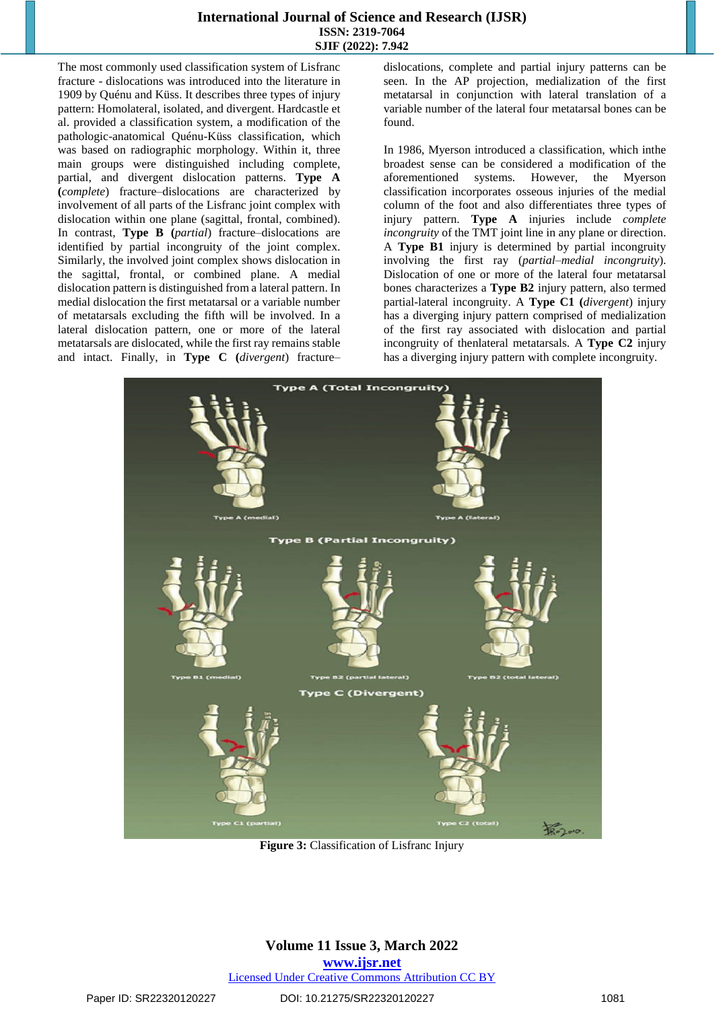#### **International Journal of Science and Research (IJSR) ISSN: 2319-7064 SJIF (2022): 7.942**

The most commonly used classification system of Lisfranc fracture - dislocations was introduced into the literature in 1909 by Quénu and Küss. It describes three types of injury pattern: Homolateral, isolated, and divergent. Hardcastle et al. provided a classification system, a modification of the pathologic-anatomical Quénu-Küss classification, which was based on radiographic morphology. Within it, three main groups were distinguished including complete, partial, and divergent dislocation patterns. **Type A (***complete*) fracture–dislocations are characterized by involvement of all parts of the Lisfranc joint complex with dislocation within one plane (sagittal, frontal, combined). In contrast, **Type B (***partial*) fracture–dislocations are identified by partial incongruity of the joint complex. Similarly, the involved joint complex shows dislocation in the sagittal, frontal, or combined plane. A medial dislocation pattern is distinguished from a lateral pattern. In medial dislocation the first metatarsal or a variable number of metatarsals excluding the fifth will be involved. In a lateral dislocation pattern, one or more of the lateral metatarsals are dislocated, while the first ray remains stable and intact. Finally, in **Type C (***divergent*) fracture–

dislocations, complete and partial injury patterns can be seen. In the AP projection, medialization of the first metatarsal in conjunction with lateral translation of a variable number of the lateral four metatarsal bones can be found.

In 1986, Myerson introduced a classification, which inthe broadest sense can be considered a modification of the aforementioned systems. However, the Myerson classification incorporates osseous injuries of the medial column of the foot and also differentiates three types of injury pattern. **Type A** injuries include *complete incongruity* of the TMT joint line in any plane or direction. A **Type B1** injury is determined by partial incongruity involving the first ray (*partial–medial incongruity*). Dislocation of one or more of the lateral four metatarsal bones characterizes a **Type B2** injury pattern, also termed partial-lateral incongruity. A **Type C1 (***divergent*) injury has a diverging injury pattern comprised of medialization of the first ray associated with dislocation and partial incongruity of thenlateral metatarsals. A **Type C2** injury has a diverging injury pattern with complete incongruity.



**Figure 3:** Classification of Lisfranc Injury

#### **Volume 11 Issue 3, March 2022 www.ijsr.net** Licensed Under Creative Commons Attribution CC BY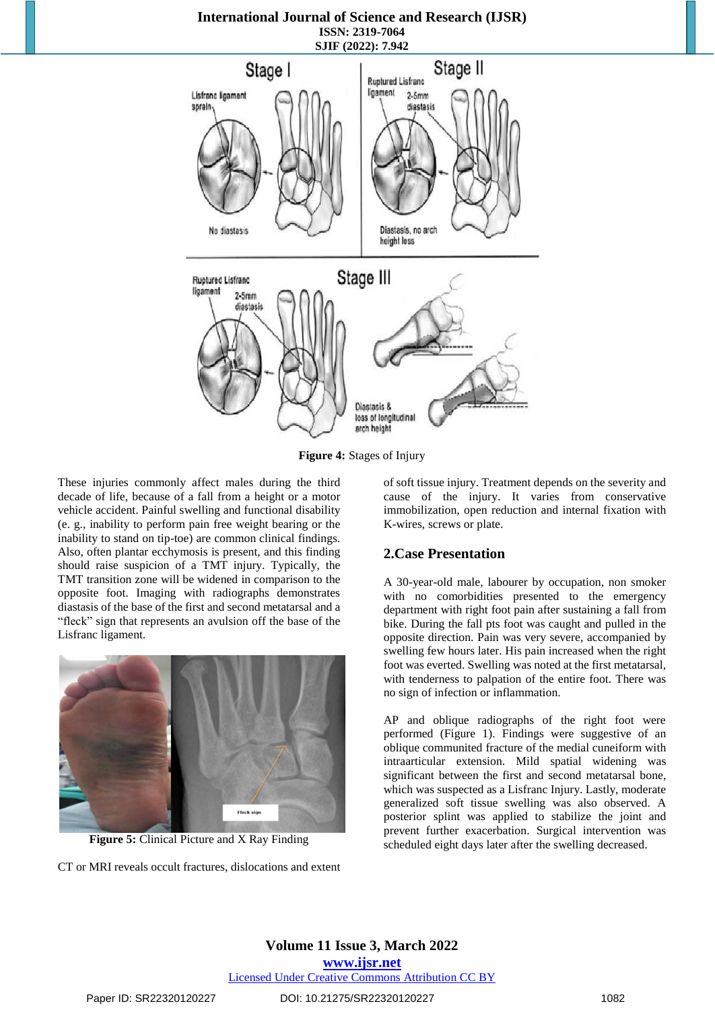#### **International Journal of Science and Research (IJSR) ISSN: 2319-7064 SJIF (2022): 7.942**



**Figure 4:** Stages of Injury

These injuries commonly affect males during the third decade of life, because of a fall from a height or a motor vehicle accident. Painful swelling and functional disability (e. g., inability to perform pain free weight bearing or the inability to stand on tip-toe) are common clinical findings. Also, often plantar ecchymosis is present, and this finding should raise suspicion of a TMT injury. Typically, the TMT transition zone will be widened in comparison to the opposite foot. Imaging with radiographs demonstrates diastasis of the base of the first and second metatarsal and a "fleck" sign that represents an avulsion off the base of the Lisfranc ligament.



**Figure 5:** Clinical Picture and X Ray Finding

CT or MRI reveals occult fractures, dislocations and extent

of soft tissue injury. Treatment depends on the severity and cause of the injury. It varies from conservative immobilization, open reduction and internal fixation with K-wires, screws or plate.

#### **2.Case Presentation**

A 30-year-old male, labourer by occupation, non smoker with no comorbidities presented to the emergency department with right foot pain after sustaining a fall from bike. During the fall pts foot was caught and pulled in the opposite direction. Pain was very severe, accompanied by swelling few hours later. His pain increased when the right foot was everted. Swelling was noted at the first metatarsal, with tenderness to palpation of the entire foot. There was no sign of infection or inflammation.

AP and oblique radiographs of the right foot were performed (Figure 1). Findings were suggestive of an oblique communited fracture of the medial cuneiform with intraarticular extension. Mild spatial widening was significant between the first and second metatarsal bone, which was suspected as a Lisfranc Injury. Lastly, moderate generalized soft tissue swelling was also observed. A posterior splint was applied to stabilize the joint and prevent further exacerbation. Surgical intervention was scheduled eight days later after the swelling decreased.

## **Volume 11 Issue 3, March 2022 www.ijsr.net** Licensed Under Creative Commons Attribution CC BY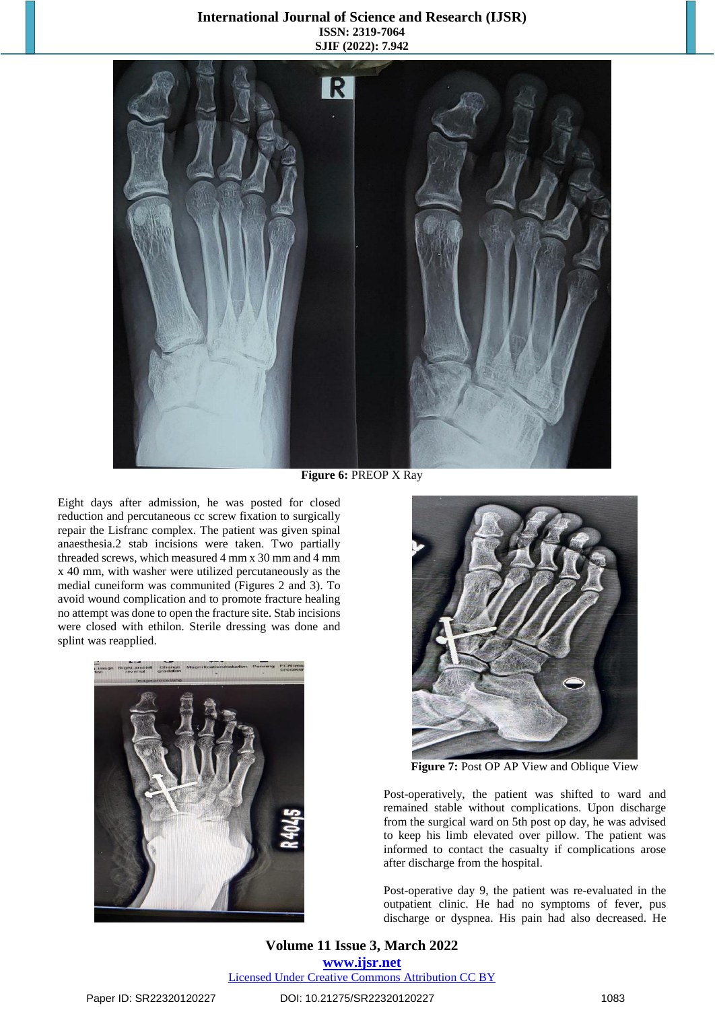### **International Journal of Science and Research (IJSR) ISSN: 2319-7064 SJIF (2022): 7.942**



**Figure 6:** PREOP X Ray

Eight days after admission, he was posted for closed reduction and percutaneous cc screw fixation to surgically repair the Lisfranc complex. The patient was given spinal anaesthesia.2 stab incisions were taken. Two partially threaded screws, which measured 4 mm x 30 mm and 4 mm x 40 mm, with washer were utilized percutaneously as the medial cuneiform was communited (Figures 2 and 3). To avoid wound complication and to promote fracture healing no attempt was done to open the fracture site. Stab incisions were closed with ethilon. Sterile dressing was done and splint was reapplied.





**Figure 7:** Post OP AP View and Oblique View

Post-operatively, the patient was shifted to ward and remained stable without complications. Upon discharge from the surgical ward on 5th post op day, he was advised to keep his limb elevated over pillow. The patient was informed to contact the casualty if complications arose after discharge from the hospital.

Post-operative day 9, the patient was re-evaluated in the outpatient clinic. He had no symptoms of fever, pus discharge or dyspnea. His pain had also decreased. He

## **Volume 11 Issue 3, March 2022 www.ijsr.net**

Licensed Under Creative Commons Attribution CC BY